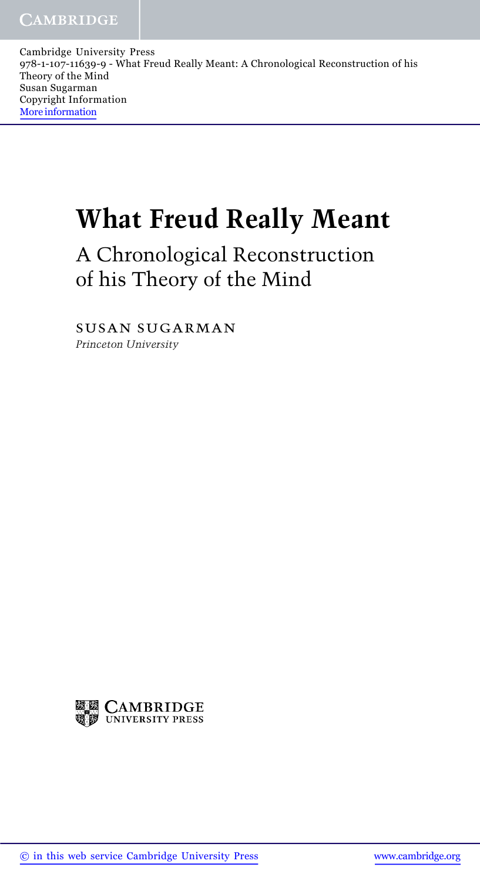Cambridge University Press 978-1-107-11639-9 - What Freud Really Meant: A Chronological Reconstruction of his Theory of the Mind Susan Sugarman Copyright Information More information

## What Freud Really Meant

A Chronological Reconstruction of his Theory of the Mind

susan sugarman Princeton University